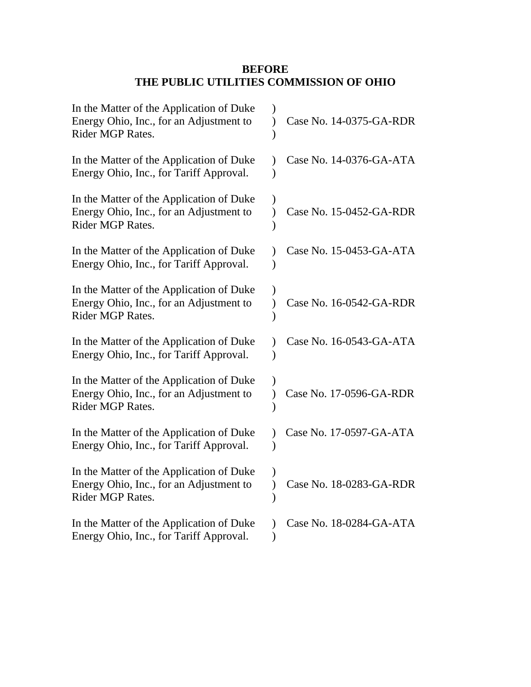## **BEFORE THE PUBLIC UTILITIES COMMISSION OF OHIO**

| In the Matter of the Application of Duke<br>Energy Ohio, Inc., for an Adjustment to<br>Rider MGP Rates. | Case No. 14-0375-GA-RDR |
|---------------------------------------------------------------------------------------------------------|-------------------------|
| In the Matter of the Application of Duke<br>Energy Ohio, Inc., for Tariff Approval.                     | Case No. 14-0376-GA-ATA |
| In the Matter of the Application of Duke<br>Energy Ohio, Inc., for an Adjustment to<br>Rider MGP Rates. | Case No. 15-0452-GA-RDR |
| In the Matter of the Application of Duke<br>Energy Ohio, Inc., for Tariff Approval.                     | Case No. 15-0453-GA-ATA |
| In the Matter of the Application of Duke<br>Energy Ohio, Inc., for an Adjustment to<br>Rider MGP Rates. | Case No. 16-0542-GA-RDR |
| In the Matter of the Application of Duke<br>Energy Ohio, Inc., for Tariff Approval.                     | Case No. 16-0543-GA-ATA |
| In the Matter of the Application of Duke<br>Energy Ohio, Inc., for an Adjustment to<br>Rider MGP Rates. | Case No. 17-0596-GA-RDR |
| In the Matter of the Application of Duke<br>Energy Ohio, Inc., for Tariff Approval.                     | Case No. 17-0597-GA-ATA |
| In the Matter of the Application of Duke<br>Energy Ohio, Inc., for an Adjustment to<br>Rider MGP Rates. | Case No. 18-0283-GA-RDR |
| In the Matter of the Application of Duke<br>Energy Ohio, Inc., for Tariff Approval.                     | Case No. 18-0284-GA-ATA |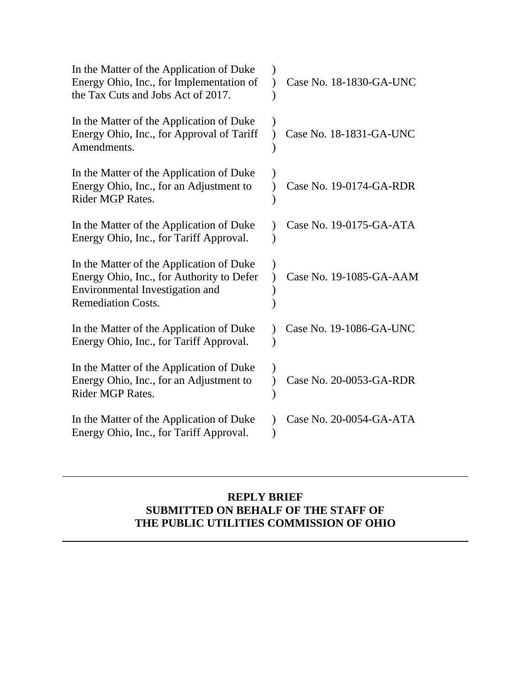| In the Matter of the Application of Duke<br>Energy Ohio, Inc., for Implementation of<br>the Tax Cuts and Jobs Act of 2017.                            | Case No. 18-1830-GA-UNC |
|-------------------------------------------------------------------------------------------------------------------------------------------------------|-------------------------|
| In the Matter of the Application of Duke<br>Energy Ohio, Inc., for Approval of Tariff<br>Amendments.                                                  | Case No. 18-1831-GA-UNC |
| In the Matter of the Application of Duke<br>Energy Ohio, Inc., for an Adjustment to<br>Rider MGP Rates.                                               | Case No. 19-0174-GA-RDR |
| In the Matter of the Application of Duke<br>Energy Ohio, Inc., for Tariff Approval.                                                                   | Case No. 19-0175-GA-ATA |
| In the Matter of the Application of Duke<br>Energy Ohio, Inc., for Authority to Defer<br>Environmental Investigation and<br><b>Remediation Costs.</b> | Case No. 19-1085-GA-AAM |
| In the Matter of the Application of Duke<br>Energy Ohio, Inc., for Tariff Approval.                                                                   | Case No. 19-1086-GA-UNC |
| In the Matter of the Application of Duke<br>Energy Ohio, Inc., for an Adjustment to<br>Rider MGP Rates.                                               | Case No. 20-0053-GA-RDR |
| In the Matter of the Application of Duke<br>Energy Ohio, Inc., for Tariff Approval.                                                                   | Case No. 20-0054-GA-ATA |

### **REPLY BRIEF SUBMITTED ON BEHALF OF THE STAFF OF THE PUBLIC UTILITIES COMMISSION OF OHIO**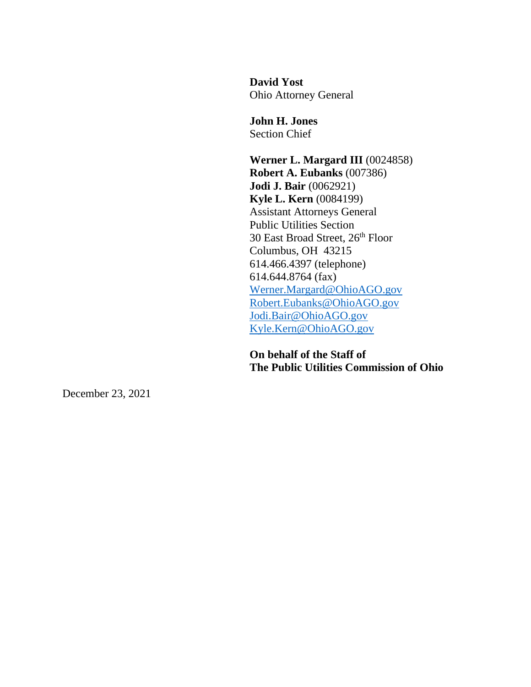**David Yost** Ohio Attorney General

**John H. Jones** Section Chief

**Werner L. Margard III** (0024858) **Robert A. Eubanks** (007386) **Jodi J. Bair** (0062921) **Kyle L. Kern** (0084199) Assistant Attorneys General Public Utilities Section 30 East Broad Street, 26 th Floor Columbus, OH 43215 614.466.4397 (telephone) 614.644.8764 (fax) [Werner.Margard@OhioAGO.gov](mailto:Werner.Margard@OhioAGO.gov) [Robert.Eubanks@OhioAGO.gov](mailto:Robert.Eubanks@OhioAGO.gov) [Jodi.Bair@OhioAGO.gov](mailto:Jodi.Bair@OhioAGO.gov) [Kyle.Kern@OhioAGO.gov](mailto:Kyle.Kern@OhioAGO.gov)

**On behalf of the Staff of The Public Utilities Commission of Ohio**

December 23, 2021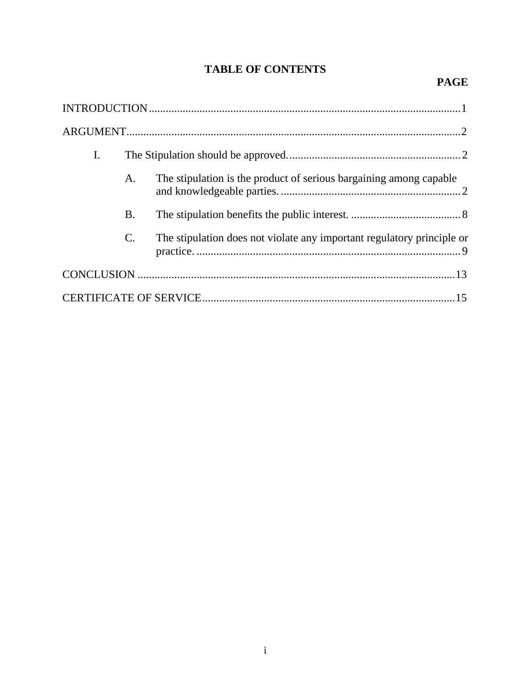# **TABLE OF CONTENTS**

## **PAGE**

| I. |           |                                                                        |
|----|-----------|------------------------------------------------------------------------|
|    | A.        | The stipulation is the product of serious bargaining among capable     |
|    | <b>B.</b> |                                                                        |
|    | C.        | The stipulation does not violate any important regulatory principle or |
|    |           |                                                                        |
|    |           |                                                                        |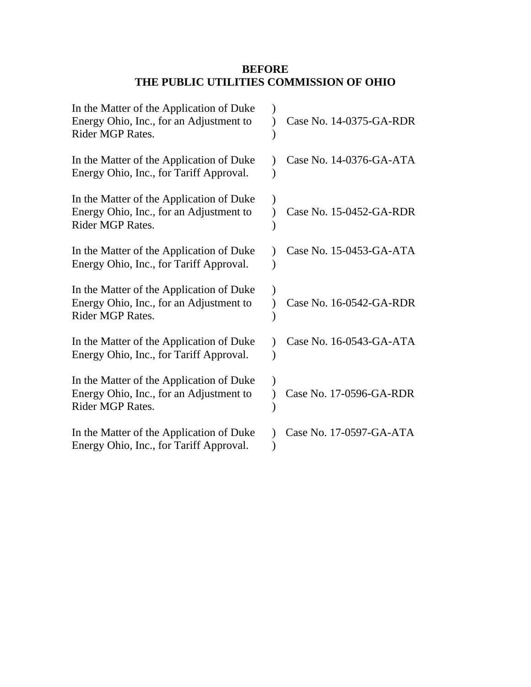## **BEFORE THE PUBLIC UTILITIES COMMISSION OF OHIO**

| In the Matter of the Application of Duke<br>Energy Ohio, Inc., for an Adjustment to<br>Rider MGP Rates. | Case No. 14-0375-GA-RDR |
|---------------------------------------------------------------------------------------------------------|-------------------------|
| In the Matter of the Application of Duke<br>Energy Ohio, Inc., for Tariff Approval.                     | Case No. 14-0376-GA-ATA |
| In the Matter of the Application of Duke<br>Energy Ohio, Inc., for an Adjustment to<br>Rider MGP Rates. | Case No. 15-0452-GA-RDR |
| In the Matter of the Application of Duke<br>Energy Ohio, Inc., for Tariff Approval.                     | Case No. 15-0453-GA-ATA |
| In the Matter of the Application of Duke<br>Energy Ohio, Inc., for an Adjustment to<br>Rider MGP Rates. | Case No. 16-0542-GA-RDR |
| In the Matter of the Application of Duke<br>Energy Ohio, Inc., for Tariff Approval.                     | Case No. 16-0543-GA-ATA |
| In the Matter of the Application of Duke<br>Energy Ohio, Inc., for an Adjustment to<br>Rider MGP Rates. | Case No. 17-0596-GA-RDR |
| In the Matter of the Application of Duke<br>Energy Ohio, Inc., for Tariff Approval.                     | Case No. 17-0597-GA-ATA |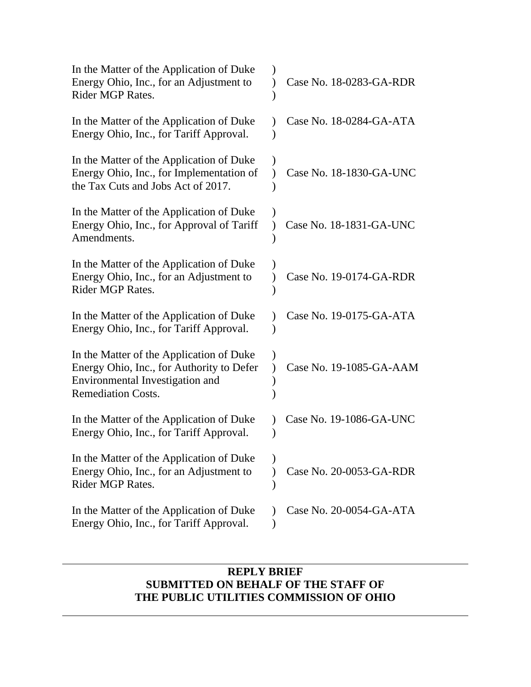| In the Matter of the Application of Duke<br>Energy Ohio, Inc., for an Adjustment to<br><b>Rider MGP Rates.</b>                                        | Case No. 18-0283-GA-RDR |
|-------------------------------------------------------------------------------------------------------------------------------------------------------|-------------------------|
| In the Matter of the Application of Duke<br>Energy Ohio, Inc., for Tariff Approval.                                                                   | Case No. 18-0284-GA-ATA |
| In the Matter of the Application of Duke<br>Energy Ohio, Inc., for Implementation of<br>the Tax Cuts and Jobs Act of 2017.                            | Case No. 18-1830-GA-UNC |
| In the Matter of the Application of Duke<br>Energy Ohio, Inc., for Approval of Tariff<br>Amendments.                                                  | Case No. 18-1831-GA-UNC |
| In the Matter of the Application of Duke<br>Energy Ohio, Inc., for an Adjustment to<br><b>Rider MGP Rates.</b>                                        | Case No. 19-0174-GA-RDR |
| In the Matter of the Application of Duke<br>Energy Ohio, Inc., for Tariff Approval.                                                                   | Case No. 19-0175-GA-ATA |
| In the Matter of the Application of Duke<br>Energy Ohio, Inc., for Authority to Defer<br>Environmental Investigation and<br><b>Remediation Costs.</b> | Case No. 19-1085-GA-AAM |
| In the Matter of the Application of Duke<br>Energy Ohio, Inc., for Tariff Approval.                                                                   | Case No. 19-1086-GA-UNC |
| In the Matter of the Application of Duke<br>Energy Ohio, Inc., for an Adjustment to<br><b>Rider MGP Rates.</b>                                        | Case No. 20-0053-GA-RDR |
| In the Matter of the Application of Duke<br>Energy Ohio, Inc., for Tariff Approval.                                                                   | Case No. 20-0054-GA-ATA |

## **REPLY BRIEF SUBMITTED ON BEHALF OF THE STAFF OF THE PUBLIC UTILITIES COMMISSION OF OHIO**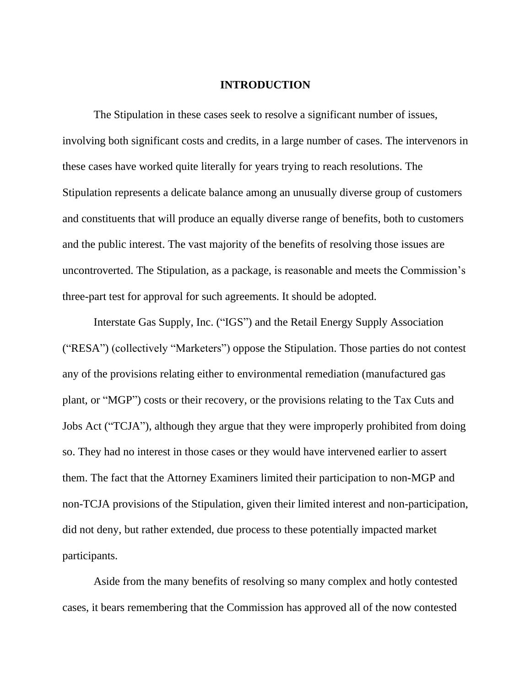#### **INTRODUCTION**

<span id="page-6-0"></span>The Stipulation in these cases seek to resolve a significant number of issues, involving both significant costs and credits, in a large number of cases. The intervenors in these cases have worked quite literally for years trying to reach resolutions. The Stipulation represents a delicate balance among an unusually diverse group of customers and constituents that will produce an equally diverse range of benefits, both to customers and the public interest. The vast majority of the benefits of resolving those issues are uncontroverted. The Stipulation, as a package, is reasonable and meets the Commission's three-part test for approval for such agreements. It should be adopted.

Interstate Gas Supply, Inc. ("IGS") and the Retail Energy Supply Association ("RESA") (collectively "Marketers") oppose the Stipulation. Those parties do not contest any of the provisions relating either to environmental remediation (manufactured gas plant, or "MGP") costs or their recovery, or the provisions relating to the Tax Cuts and Jobs Act ("TCJA"), although they argue that they were improperly prohibited from doing so. They had no interest in those cases or they would have intervened earlier to assert them. The fact that the Attorney Examiners limited their participation to non-MGP and non-TCJA provisions of the Stipulation, given their limited interest and non-participation, did not deny, but rather extended, due process to these potentially impacted market participants.

Aside from the many benefits of resolving so many complex and hotly contested cases, it bears remembering that the Commission has approved all of the now contested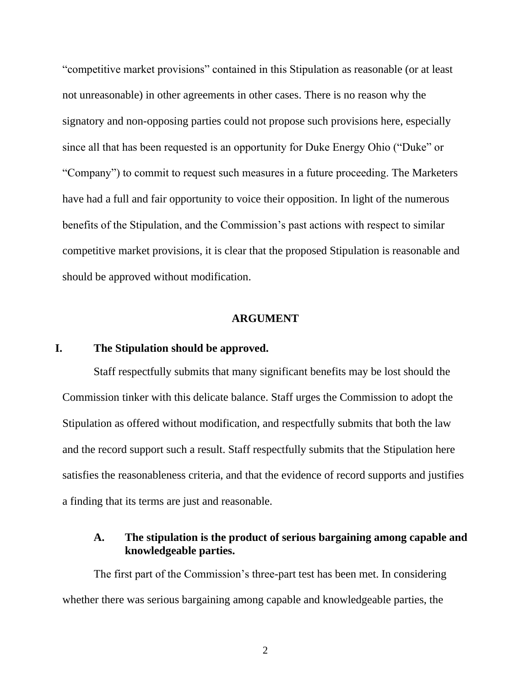"competitive market provisions" contained in this Stipulation as reasonable (or at least not unreasonable) in other agreements in other cases. There is no reason why the signatory and non-opposing parties could not propose such provisions here, especially since all that has been requested is an opportunity for Duke Energy Ohio ("Duke" or "Company") to commit to request such measures in a future proceeding. The Marketers have had a full and fair opportunity to voice their opposition. In light of the numerous benefits of the Stipulation, and the Commission's past actions with respect to similar competitive market provisions, it is clear that the proposed Stipulation is reasonable and should be approved without modification.

#### **ARGUMENT**

#### <span id="page-7-1"></span><span id="page-7-0"></span>**I. The Stipulation should be approved.**

Staff respectfully submits that many significant benefits may be lost should the Commission tinker with this delicate balance. Staff urges the Commission to adopt the Stipulation as offered without modification, and respectfully submits that both the law and the record support such a result. Staff respectfully submits that the Stipulation here satisfies the reasonableness criteria, and that the evidence of record supports and justifies a finding that its terms are just and reasonable.

### <span id="page-7-2"></span>**A. The stipulation is the product of serious bargaining among capable and knowledgeable parties.**

The first part of the Commission's three-part test has been met. In considering whether there was serious bargaining among capable and knowledgeable parties, the

2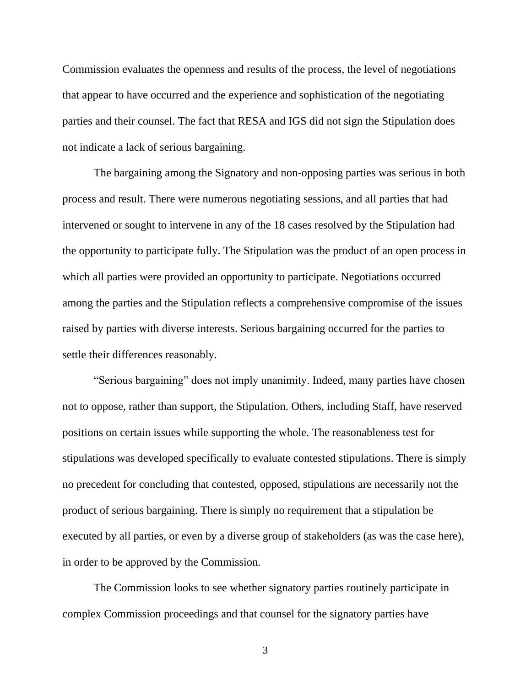Commission evaluates the openness and results of the process, the level of negotiations that appear to have occurred and the experience and sophistication of the negotiating parties and their counsel. The fact that RESA and IGS did not sign the Stipulation does not indicate a lack of serious bargaining.

The bargaining among the Signatory and non-opposing parties was serious in both process and result. There were numerous negotiating sessions, and all parties that had intervened or sought to intervene in any of the 18 cases resolved by the Stipulation had the opportunity to participate fully. The Stipulation was the product of an open process in which all parties were provided an opportunity to participate. Negotiations occurred among the parties and the Stipulation reflects a comprehensive compromise of the issues raised by parties with diverse interests. Serious bargaining occurred for the parties to settle their differences reasonably.

"Serious bargaining" does not imply unanimity. Indeed, many parties have chosen not to oppose, rather than support, the Stipulation. Others, including Staff, have reserved positions on certain issues while supporting the whole. The reasonableness test for stipulations was developed specifically to evaluate contested stipulations. There is simply no precedent for concluding that contested, opposed, stipulations are necessarily not the product of serious bargaining. There is simply no requirement that a stipulation be executed by all parties, or even by a diverse group of stakeholders (as was the case here), in order to be approved by the Commission.

The Commission looks to see whether signatory parties routinely participate in complex Commission proceedings and that counsel for the signatory parties have

3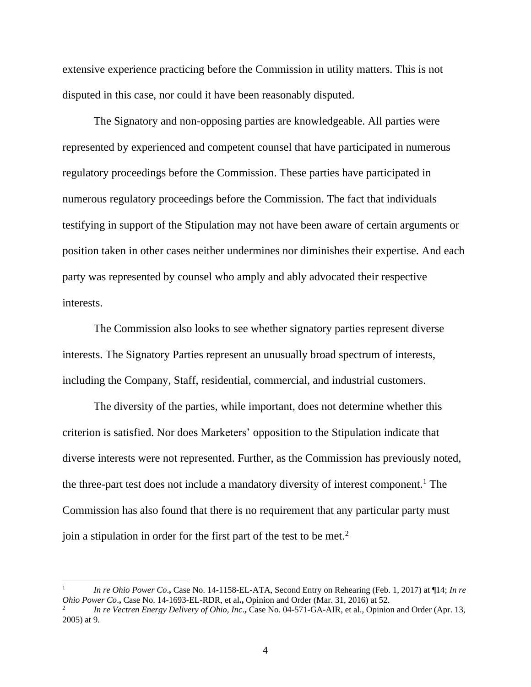extensive experience practicing before the Commission in utility matters. This is not disputed in this case, nor could it have been reasonably disputed.

The Signatory and non-opposing parties are knowledgeable. All parties were represented by experienced and competent counsel that have participated in numerous regulatory proceedings before the Commission. These parties have participated in numerous regulatory proceedings before the Commission. The fact that individuals testifying in support of the Stipulation may not have been aware of certain arguments or position taken in other cases neither undermines nor diminishes their expertise. And each party was represented by counsel who amply and ably advocated their respective interests.

The Commission also looks to see whether signatory parties represent diverse interests. The Signatory Parties represent an unusually broad spectrum of interests, including the Company, Staff, residential, commercial, and industrial customers.

The diversity of the parties, while important, does not determine whether this criterion is satisfied. Nor does Marketers' opposition to the Stipulation indicate that diverse interests were not represented. Further, as the Commission has previously noted, the three-part test does not include a mandatory diversity of interest component.<sup>1</sup> The Commission has also found that there is no requirement that any particular party must join a stipulation in order for the first part of the test to be met.<sup>2</sup>

<sup>1</sup> *In re Ohio Power Co*.**,** Case No. 14-1158-EL-ATA, Second Entry on Rehearing (Feb. 1, 2017) at ¶14; *In re Ohio Power Co*.**,** Case No. 14-1693-EL-RDR, et al**.,** Opinion and Order (Mar. 31, 2016) at 52.

<sup>2</sup> *In re Vectren Energy Delivery of Ohio, Inc*.**,** Case No. 04-571-GA-AIR, et al., Opinion and Order (Apr. 13, 2005) at 9.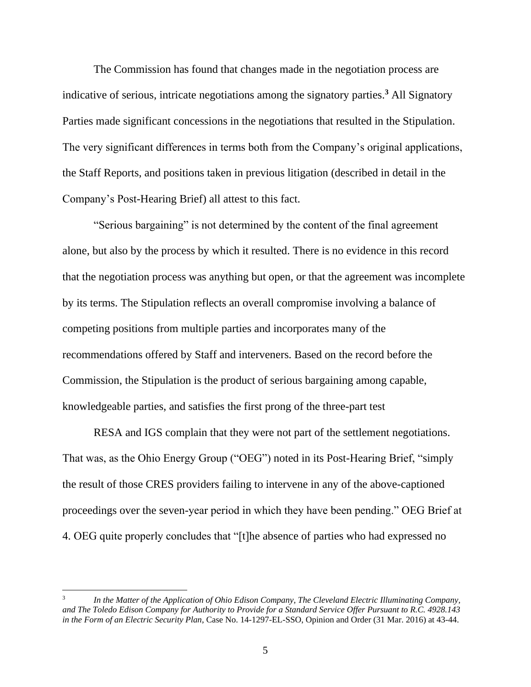The Commission has found that changes made in the negotiation process are indicative of serious, intricate negotiations among the signatory parties.**<sup>3</sup>** All Signatory Parties made significant concessions in the negotiations that resulted in the Stipulation. The very significant differences in terms both from the Company's original applications, the Staff Reports, and positions taken in previous litigation (described in detail in the Company's Post-Hearing Brief) all attest to this fact.

"Serious bargaining" is not determined by the content of the final agreement alone, but also by the process by which it resulted. There is no evidence in this record that the negotiation process was anything but open, or that the agreement was incomplete by its terms. The Stipulation reflects an overall compromise involving a balance of competing positions from multiple parties and incorporates many of the recommendations offered by Staff and interveners. Based on the record before the Commission, the Stipulation is the product of serious bargaining among capable, knowledgeable parties, and satisfies the first prong of the three-part test

RESA and IGS complain that they were not part of the settlement negotiations. That was, as the Ohio Energy Group ("OEG") noted in its Post-Hearing Brief, "simply the result of those CRES providers failing to intervene in any of the above-captioned proceedings over the seven-year period in which they have been pending." OEG Brief at 4. OEG quite properly concludes that "[t]he absence of parties who had expressed no

<sup>3</sup> *In the Matter of the Application of Ohio Edison Company, The Cleveland Electric Illuminating Company, and The Toledo Edison Company for Authority to Provide for a Standard Service Offer Pursuant to R.C. 4928.143 in the Form of an Electric Security Plan*, Case No. 14-1297-EL-SSO, Opinion and Order (31 Mar. 2016) at 43-44.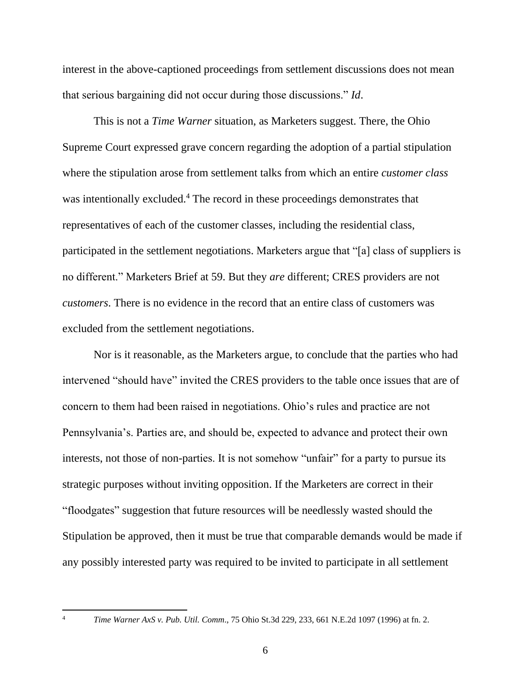interest in the above-captioned proceedings from settlement discussions does not mean that serious bargaining did not occur during those discussions." *Id*.

This is not a *Time Warner* situation, as Marketers suggest. There, the Ohio Supreme Court expressed grave concern regarding the adoption of a partial stipulation where the stipulation arose from settlement talks from which an entire *customer class* was intentionally excluded.<sup>4</sup> The record in these proceedings demonstrates that representatives of each of the customer classes, including the residential class, participated in the settlement negotiations. Marketers argue that "[a] class of suppliers is no different." Marketers Brief at 59. But they *are* different; CRES providers are not *customers*. There is no evidence in the record that an entire class of customers was excluded from the settlement negotiations.

Nor is it reasonable, as the Marketers argue, to conclude that the parties who had intervened "should have" invited the CRES providers to the table once issues that are of concern to them had been raised in negotiations. Ohio's rules and practice are not Pennsylvania's. Parties are, and should be, expected to advance and protect their own interests, not those of non-parties. It is not somehow "unfair" for a party to pursue its strategic purposes without inviting opposition. If the Marketers are correct in their "floodgates" suggestion that future resources will be needlessly wasted should the Stipulation be approved, then it must be true that comparable demands would be made if any possibly interested party was required to be invited to participate in all settlement

<sup>4</sup> *Time Warner AxS v. Pub. Util. Comm*., 75 Ohio St.3d 229, 233, 661 N.E.2d 1097 (1996) at fn. 2.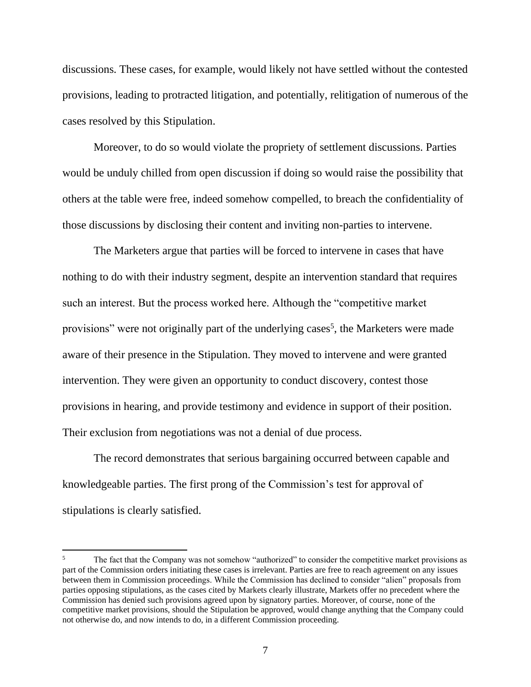discussions. These cases, for example, would likely not have settled without the contested provisions, leading to protracted litigation, and potentially, relitigation of numerous of the cases resolved by this Stipulation.

Moreover, to do so would violate the propriety of settlement discussions. Parties would be unduly chilled from open discussion if doing so would raise the possibility that others at the table were free, indeed somehow compelled, to breach the confidentiality of those discussions by disclosing their content and inviting non-parties to intervene.

The Marketers argue that parties will be forced to intervene in cases that have nothing to do with their industry segment, despite an intervention standard that requires such an interest. But the process worked here. Although the "competitive market provisions" were not originally part of the underlying cases<sup>5</sup>, the Marketers were made aware of their presence in the Stipulation. They moved to intervene and were granted intervention. They were given an opportunity to conduct discovery, contest those provisions in hearing, and provide testimony and evidence in support of their position. Their exclusion from negotiations was not a denial of due process.

The record demonstrates that serious bargaining occurred between capable and knowledgeable parties. The first prong of the Commission's test for approval of stipulations is clearly satisfied.

<sup>&</sup>lt;sup>5</sup> The fact that the Company was not somehow "authorized" to consider the competitive market provisions as part of the Commission orders initiating these cases is irrelevant. Parties are free to reach agreement on any issues between them in Commission proceedings. While the Commission has declined to consider "alien" proposals from parties opposing stipulations, as the cases cited by Markets clearly illustrate, Markets offer no precedent where the Commission has denied such provisions agreed upon by signatory parties. Moreover, of course, none of the competitive market provisions, should the Stipulation be approved, would change anything that the Company could not otherwise do, and now intends to do, in a different Commission proceeding.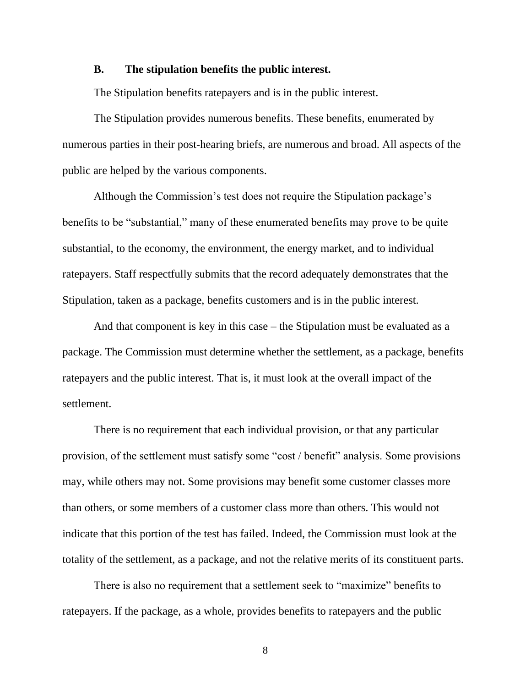### <span id="page-13-0"></span>**B. The stipulation benefits the public interest.**

The Stipulation benefits ratepayers and is in the public interest.

The Stipulation provides numerous benefits. These benefits, enumerated by numerous parties in their post-hearing briefs, are numerous and broad. All aspects of the public are helped by the various components.

Although the Commission's test does not require the Stipulation package's benefits to be "substantial," many of these enumerated benefits may prove to be quite substantial, to the economy, the environment, the energy market, and to individual ratepayers. Staff respectfully submits that the record adequately demonstrates that the Stipulation, taken as a package, benefits customers and is in the public interest.

And that component is key in this case – the Stipulation must be evaluated as a package. The Commission must determine whether the settlement, as a package, benefits ratepayers and the public interest. That is, it must look at the overall impact of the settlement.

There is no requirement that each individual provision, or that any particular provision, of the settlement must satisfy some "cost / benefit" analysis. Some provisions may, while others may not. Some provisions may benefit some customer classes more than others, or some members of a customer class more than others. This would not indicate that this portion of the test has failed. Indeed, the Commission must look at the totality of the settlement, as a package, and not the relative merits of its constituent parts.

There is also no requirement that a settlement seek to "maximize" benefits to ratepayers. If the package, as a whole, provides benefits to ratepayers and the public

8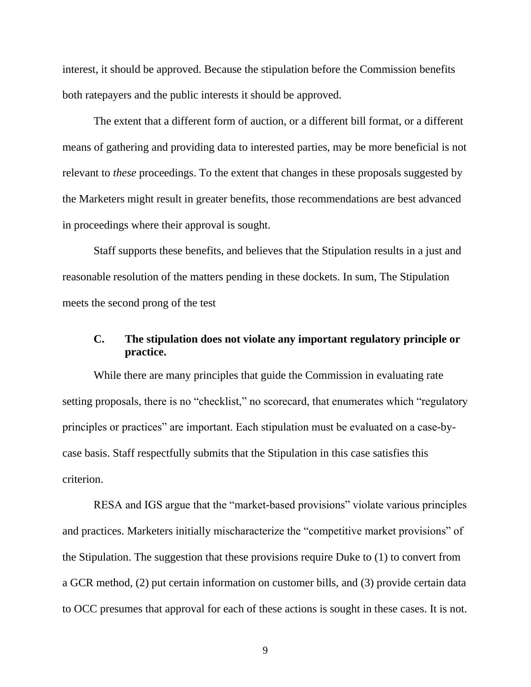interest, it should be approved. Because the stipulation before the Commission benefits both ratepayers and the public interests it should be approved.

The extent that a different form of auction, or a different bill format, or a different means of gathering and providing data to interested parties, may be more beneficial is not relevant to *these* proceedings. To the extent that changes in these proposals suggested by the Marketers might result in greater benefits, those recommendations are best advanced in proceedings where their approval is sought.

Staff supports these benefits, and believes that the Stipulation results in a just and reasonable resolution of the matters pending in these dockets. In sum, The Stipulation meets the second prong of the test

### <span id="page-14-0"></span>**C. The stipulation does not violate any important regulatory principle or practice.**

While there are many principles that guide the Commission in evaluating rate setting proposals, there is no "checklist," no scorecard, that enumerates which "regulatory principles or practices" are important. Each stipulation must be evaluated on a case-bycase basis. Staff respectfully submits that the Stipulation in this case satisfies this criterion.

RESA and IGS argue that the "market-based provisions" violate various principles and practices. Marketers initially mischaracterize the "competitive market provisions" of the Stipulation. The suggestion that these provisions require Duke to (1) to convert from a GCR method, (2) put certain information on customer bills, and (3) provide certain data to OCC presumes that approval for each of these actions is sought in these cases. It is not.

9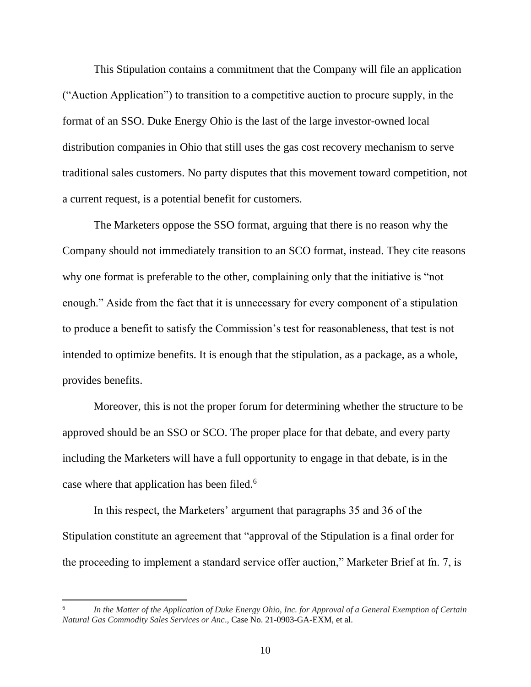This Stipulation contains a commitment that the Company will file an application ("Auction Application") to transition to a competitive auction to procure supply, in the format of an SSO. Duke Energy Ohio is the last of the large investor-owned local distribution companies in Ohio that still uses the gas cost recovery mechanism to serve traditional sales customers. No party disputes that this movement toward competition, not a current request, is a potential benefit for customers.

The Marketers oppose the SSO format, arguing that there is no reason why the Company should not immediately transition to an SCO format, instead. They cite reasons why one format is preferable to the other, complaining only that the initiative is "not enough." Aside from the fact that it is unnecessary for every component of a stipulation to produce a benefit to satisfy the Commission's test for reasonableness, that test is not intended to optimize benefits. It is enough that the stipulation, as a package, as a whole, provides benefits.

Moreover, this is not the proper forum for determining whether the structure to be approved should be an SSO or SCO. The proper place for that debate, and every party including the Marketers will have a full opportunity to engage in that debate, is in the case where that application has been filed.<sup>6</sup>

In this respect, the Marketers' argument that paragraphs 35 and 36 of the Stipulation constitute an agreement that "approval of the Stipulation is a final order for the proceeding to implement a standard service offer auction," Marketer Brief at fn. 7, is

<sup>6</sup> *In the Matter of the Application of Duke Energy Ohio, Inc. for Approval of a General Exemption of Certain Natural Gas Commodity Sales Services or Anc*., Case No. 21-0903-GA-EXM, et al.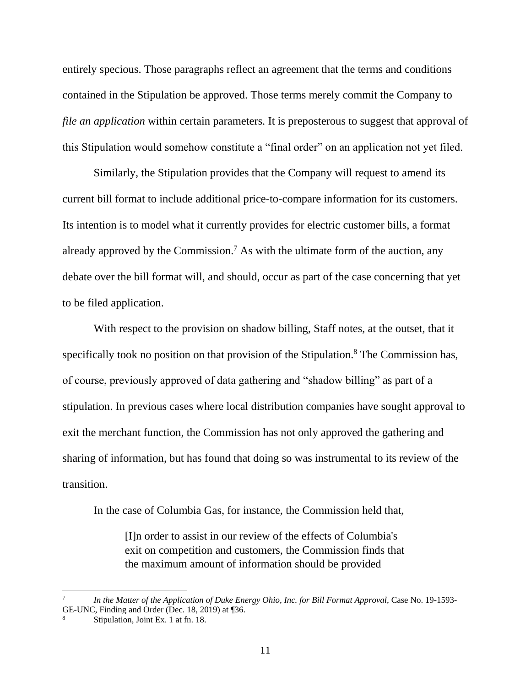entirely specious. Those paragraphs reflect an agreement that the terms and conditions contained in the Stipulation be approved. Those terms merely commit the Company to *file an application* within certain parameters. It is preposterous to suggest that approval of this Stipulation would somehow constitute a "final order" on an application not yet filed.

Similarly, the Stipulation provides that the Company will request to amend its current bill format to include additional price-to-compare information for its customers. Its intention is to model what it currently provides for electric customer bills, a format already approved by the Commission.<sup>7</sup> As with the ultimate form of the auction, any debate over the bill format will, and should, occur as part of the case concerning that yet to be filed application.

With respect to the provision on shadow billing, Staff notes, at the outset, that it specifically took no position on that provision of the Stipulation.<sup>8</sup> The Commission has, of course, previously approved of data gathering and "shadow billing" as part of a stipulation. In previous cases where local distribution companies have sought approval to exit the merchant function, the Commission has not only approved the gathering and sharing of information, but has found that doing so was instrumental to its review of the transition.

In the case of Columbia Gas, for instance, the Commission held that,

[I]n order to assist in our review of the effects of Columbia's exit on competition and customers, the Commission finds that the maximum amount of information should be provided

<sup>7</sup> *In the Matter of the Application of Duke Energy Ohio, Inc. for Bill Format Approval,* Case No. 19-1593- GE-UNC, Finding and Order (Dec. 18, 2019) at ¶36.

<sup>8</sup> Stipulation, Joint Ex. 1 at fn. 18.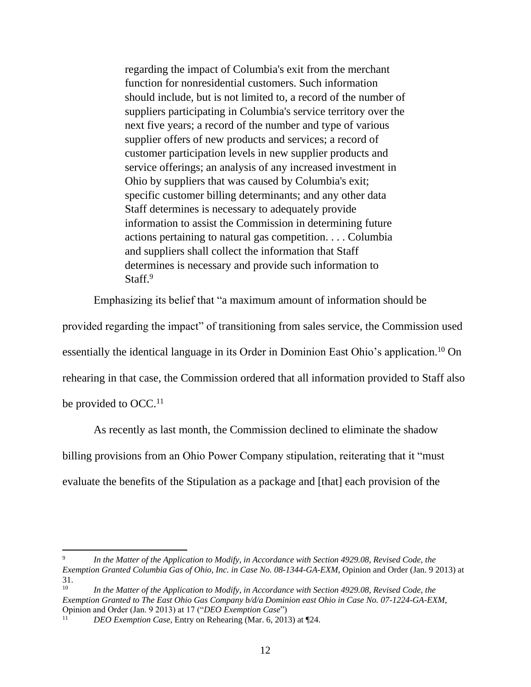regarding the impact of Columbia's exit from the merchant function for nonresidential customers. Such information should include, but is not limited to, a record of the number of suppliers participating in Columbia's service territory over the next five years; a record of the number and type of various supplier offers of new products and services; a record of customer participation levels in new supplier products and service offerings; an analysis of any increased investment in Ohio by suppliers that was caused by Columbia's exit; specific customer billing determinants; and any other data Staff determines is necessary to adequately provide information to assist the Commission in determining future actions pertaining to natural gas competition. . . . Columbia and suppliers shall collect the information that Staff determines is necessary and provide such information to Staff.<sup>9</sup>

Emphasizing its belief that "a maximum amount of information should be

provided regarding the impact" of transitioning from sales service, the Commission used essentially the identical language in its Order in Dominion East Ohio's application.<sup>10</sup> On rehearing in that case, the Commission ordered that all information provided to Staff also

be provided to OCC.<sup>11</sup>

 $\overline{\phantom{a}}$ 

As recently as last month, the Commission declined to eliminate the shadow billing provisions from an Ohio Power Company stipulation, reiterating that it "must evaluate the benefits of the Stipulation as a package and [that] each provision of the

<sup>9</sup> *In the Matter of the Application to Modify, in Accordance with Section 4929.08, Revised Code, the Exemption Granted Columbia Gas of Ohio, Inc. in Case No. 08-1344-GA-EXM*, Opinion and Order (Jan. 9 2013) at  $31.$ <sub>10</sub>

In the Matter of the Application to Modify, in Accordance with Section 4929.08, Revised Code, the *Exemption Granted to The East Ohio Gas Company b/d/a Dominion east Ohio in Case No. 07-1224-GA-EXM*, Opinion and Order (Jan. 9 2013) at 17 ("*DEO Exemption Case*")

<sup>11</sup> *DEO Exemption Case*, Entry on Rehearing (Mar. 6, 2013) at ¶24.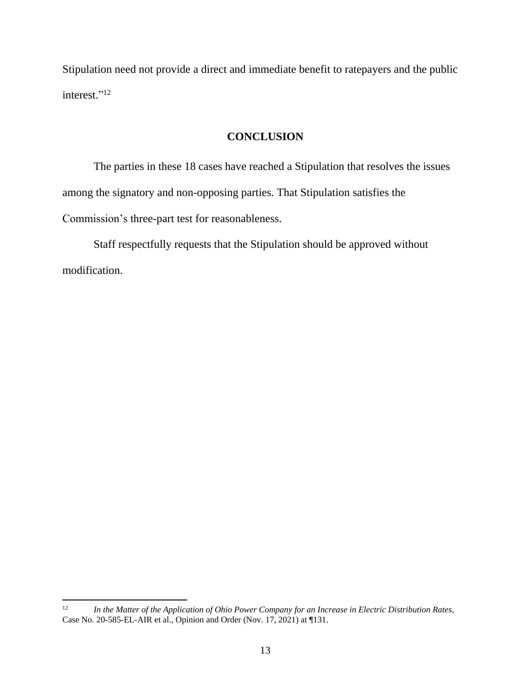Stipulation need not provide a direct and immediate benefit to ratepayers and the public interest." 12

### **CONCLUSION**

<span id="page-18-0"></span>The parties in these 18 cases have reached a Stipulation that resolves the issues among the signatory and non-opposing parties. That Stipulation satisfies the Commission's three-part test for reasonableness.

Staff respectfully requests that the Stipulation should be approved without modification.

 $12 \,$ <sup>12</sup> *In the Matter of the Application of Ohio Power Company for an Increase in Electric Distribution Rates*, Case No. 20-585-EL-AIR et al., Opinion and Order (Nov. 17, 2021) at ¶131.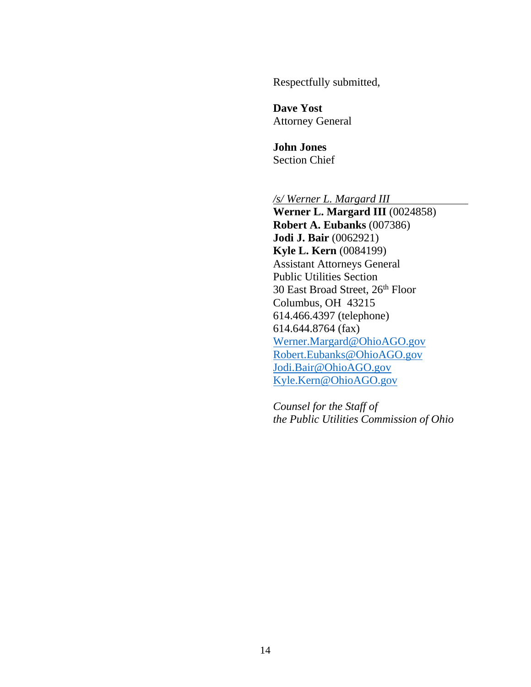Respectfully submitted,

**Dave Yost** Attorney General

**John Jones** Section Chief

*/s/ Werner L. Margard III*

**Werner L. Margard III** (0024858) **Robert A. Eubanks** (007386) **Jodi J. Bair** (0062921) **Kyle L. Kern** (0084199) Assistant Attorneys General Public Utilities Section 30 East Broad Street, 26th Floor Columbus, OH 43215 614.466.4397 (telephone) 614.644.8764 (fax) [Werner.Margard@OhioAGO.gov](mailto:Werner.Margard@OhioAGO.gov) [Robert.Eubanks@OhioAGO.gov](mailto:Robert.Eubanks@OhioAGO.gov) [Jodi.Bair@OhioAGO.gov](mailto:Jodi.Bair@OhioAGO.gov) [Kyle.Kern@OhioAGO.gov](mailto:Kyle.Kern@OhioAGO.gov)

*Counsel for the Staff of the Public Utilities Commission of Ohio*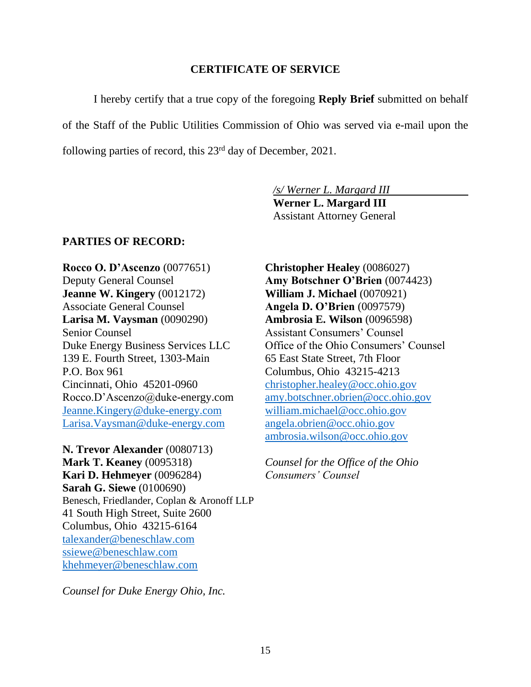### **CERTIFICATE OF SERVICE**

<span id="page-20-0"></span>I hereby certify that a true copy of the foregoing **Reply Brief** submitted on behalf of the Staff of the Public Utilities Commission of Ohio was served via e-mail upon the following parties of record, this 23rd day of December, 2021.

*/s/ Werner L. Margard III*

**Werner L. Margard III** Assistant Attorney General

### **PARTIES OF RECORD:**

**Rocco O. D'Ascenzo** (0077651) Deputy General Counsel **Jeanne W. Kingery** (0012172) Associate General Counsel **Larisa M. Vaysman** (0090290) Senior Counsel Duke Energy Business Services LLC 139 E. Fourth Street, 1303-Main P.O. Box 961 Cincinnati, Ohio 45201-0960 Rocco.D'Ascenzo@duke-energy.com [Jeanne.Kingery@duke-energy.com](mailto:Jeanne.Kingery@duke-energy.com) [Larisa.Vaysman@duke-energy.com](mailto:Larisa.Vaysman@duke-energy.com)

**N. Trevor Alexander** (0080713) **Mark T. Keaney** (0095318) **Kari D. Hehmeyer** (0096284) **Sarah G. Siewe** (0100690) Benesch, Friedlander, Coplan & Aronoff LLP 41 South High Street, Suite 2600 Columbus, Ohio 43215-6164 [talexander@beneschlaw.com](mailto:talexander@beneschlaw.com) [ssiewe@beneschlaw.com](mailto:ssiewe@beneschlaw.com) [khehmeyer@beneschlaw.com](mailto:khehmeyer@beneschlaw.com)

*Counsel for Duke Energy Ohio, Inc.*

**Christopher Healey** (0086027) **Amy Botschner O'Brien** (0074423) **William J. Michael** (0070921) **Angela D. O'Brien** (0097579) **Ambrosia E. Wilson** (0096598) Assistant Consumers' Counsel Office of the Ohio Consumers' Counsel 65 East State Street, 7th Floor Columbus, Ohio 43215-4213 [christopher.healey@occ.ohio.gov](mailto:christopher.healey@occ.ohio.gov) [amy.botschner.obrien@occ.ohio.gov](mailto:amy.botschner.obrien@occ.ohio.gov) [william.michael@occ.ohio.gov](mailto:william.michael@occ.ohio.gov) [angela.obrien@occ.ohio.gov](mailto:angela.obrien@occ.ohio.gov) [ambrosia.wilson@occ.ohio.gov](mailto:ambrosia.wilson@occ.ohio.gov)

*Counsel for the Office of the Ohio Consumers' Counsel*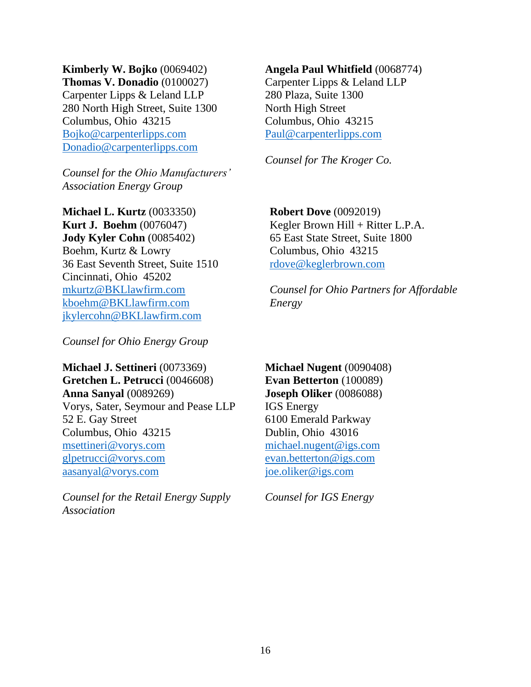**Kimberly W. Bojko** (0069402) **Thomas V. Donadio** (0100027) Carpenter Lipps & Leland LLP 280 North High Street, Suite 1300 Columbus, Ohio 43215 [Bojko@carpenterlipps.com](mailto:Bojko@carpenterlipps.com) [Donadio@carpenterlipps.com](mailto:Donadio@carpenterlipps.com)

*Counsel for the Ohio Manufacturers' Association Energy Group*

**Michael L. Kurtz** (0033350) **Kurt J. Boehm** (0076047) **Jody Kyler Cohn** (0085402) Boehm, Kurtz & Lowry 36 East Seventh Street, Suite 1510 Cincinnati, Ohio 45202 [mkurtz@BKLlawfirm.com](mailto:mkurtz@BKLlawfirm.com) [kboehm@BKLlawfirm.com](mailto:kboehm@BKLlawfirm.com) [jkylercohn@BKLlawfirm.com](mailto:jkylercohn@BKLlawfirm.com)

*Counsel for Ohio Energy Group*

**Michael J. Settineri** (0073369) **Gretchen L. Petrucci** (0046608) **Anna Sanyal** (0089269) Vorys, Sater, Seymour and Pease LLP 52 E. Gay Street Columbus, Ohio 43215 [msettineri@vorys.com](mailto:msettineri@vorys.com) [glpetrucci@vorys.com](mailto:glpetrucci@vorys.com) [aasanyal@vorys.com](mailto:aasanyal@vorys.com)

*Counsel for the Retail Energy Supply Association*

## **Angela Paul Whitfield** (0068774)

Carpenter Lipps & Leland LLP 280 Plaza, Suite 1300 North High Street Columbus, Ohio 43215 [Paul@carpenterlipps.com](mailto:Paul@carpenterlipps.com)

*Counsel for The Kroger Co.*

**Robert Dove** (0092019) Kegler Brown Hill + Ritter L.P.A. 65 East State Street, Suite 1800 Columbus, Ohio 43215 [rdove@keglerbrown.com](mailto:rdove@keglerbrown.com)

*Counsel for Ohio Partners for Affordable Energy*

**Michael Nugent** (0090408) **Evan Betterton** (100089) **Joseph Oliker** (0086088) IGS Energy 6100 Emerald Parkway Dublin, Ohio 43016 [michael.nugent@igs.com](mailto:michael.nugent@igs.com) [evan.betterton@igs.com](mailto:evan.betterton@igs.com) [joe.oliker@igs.com](mailto:joe.oliker@igs.com)

*Counsel for IGS Energy*